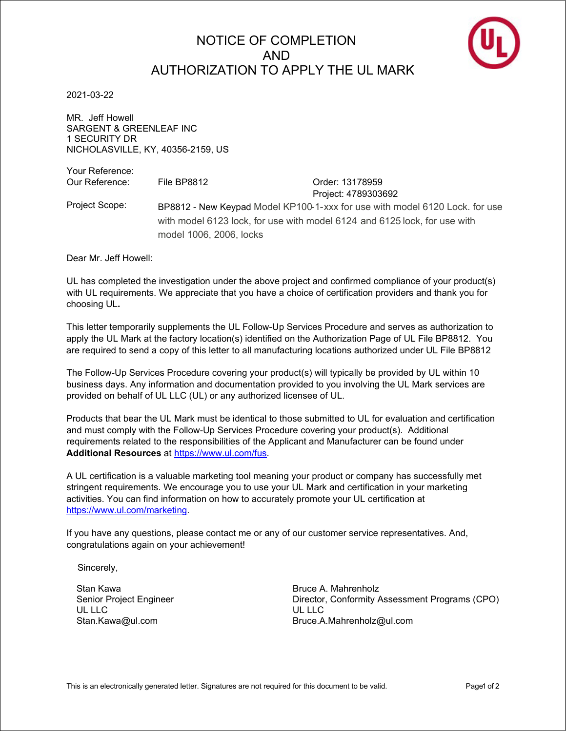## NOTICE OF COMPLETION AND AUTHORIZATION TO APPI Y THE UL MARK



2021-03-22

MR. Jeff Howell SARGENT & GREENLEAF INC 1 SECURITY DR NICHOLASVILLE, KY, 40356-2159, US

Your Reference: Our Reference: File BP8812 Contract Conder: 13178959 Project: 4789303692 Project Scope: BP8812 - New Keypad Model KP100-1-xxx for use with model 6120 Lock. for use with model 6123 lock, for use with model 6124 and 6125 lock, for use with model 1006, 2006, locks

Dear Mr. Jeff Howell:

UL has completed the investigation under the above project and confirmed compliance of your product(s) with UL requirements. We appreciate that you have a choice of certification providers and thank you for choosing UL**.**

This letter temporarily supplements the UL Follow-Up Services Procedure and serves as authorization to apply the UL Mark at the factory location(s) identified on the Authorization Page of UL File BP8812. You are required to send a copy of this letter to all manufacturing locations authorized under UL File BP8812

The Follow-Up Services Procedure covering your product(s) will typically be provided by UL within 10 business days. Any information and documentation provided to you involving the UL Mark services are provided on behalf of UL LLC (UL) or any authorized licensee of UL.

Products that bear the UL Mark must be identical to those submitted to UL for evaluation and certification and must comply with the Follow-Up Services Procedure covering your product(s). Additional requirements related to the responsibilities of the Applicant and Manufacturer can be found under **Additional Resources** at https://www.ul.com/fus.

A UL certification is a valuable marketing tool meaning your product or company has successfully met stringent requirements. We encourage you to use your UL Mark and certification in your marketing activities. You can find information on how to accurately promote your UL certification at https://www.ul.com/marketing.

If you have any questions, please contact me or any of our customer service representatives. And, congratulations again on your achievement!

Sincerely,

Stan Kawa Senior Project Engineer UL LLC Stan.Kawa@ul.com

Bruce A. Mahrenholz Director, Conformity Assessment Programs (CPO) UL LLC Bruce.A.Mahrenholz@ul.com